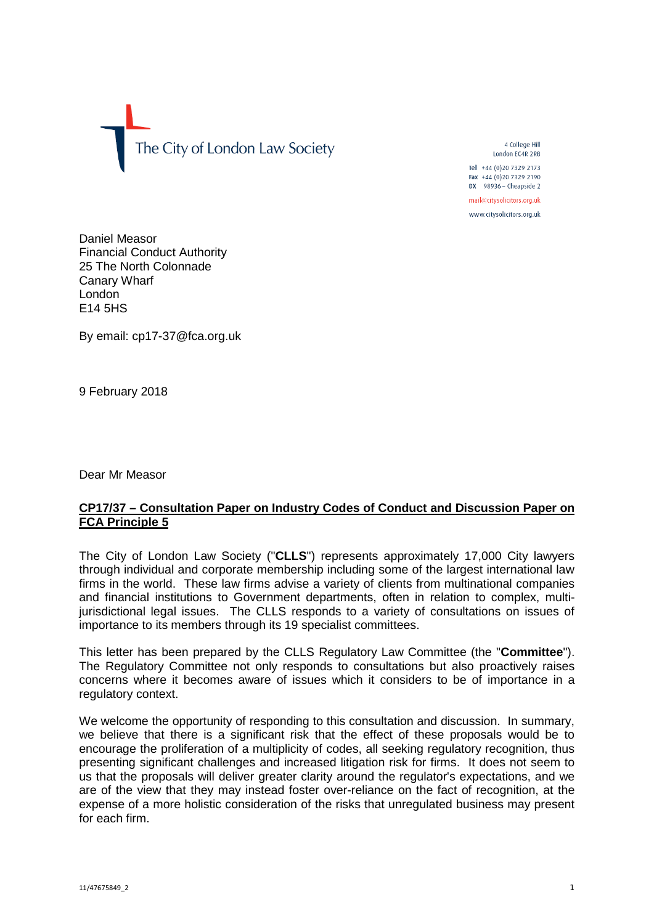The City of London Law Society

4 College Hill London EC4R 2RB Tel +44 (0) 20 7329 2173 Fax +44 (0)20 7329 2190  $DX$  98936 - Cheapside 2

mail@citysolicitors.org.uk www.citysolicitors.org.uk

Daniel Measor Financial Conduct Authority 25 The North Colonnade Canary Wharf London

By email: cp17-37@fca.org.uk

9 February 2018

E14 5HS

Dear Mr Measor

## **CP17/37 – Consultation Paper on Industry Codes of Conduct and Discussion Paper on FCA Principle 5**

The City of London Law Society ("**CLLS**") represents approximately 17,000 City lawyers through individual and corporate membership including some of the largest international law firms in the world. These law firms advise a variety of clients from multinational companies and financial institutions to Government departments, often in relation to complex, multijurisdictional legal issues. The CLLS responds to a variety of consultations on issues of importance to its members through its 19 specialist committees.

This letter has been prepared by the CLLS Regulatory Law Committee (the "**Committee**"). The Regulatory Committee not only responds to consultations but also proactively raises concerns where it becomes aware of issues which it considers to be of importance in a regulatory context.

We welcome the opportunity of responding to this consultation and discussion. In summary, we believe that there is a significant risk that the effect of these proposals would be to encourage the proliferation of a multiplicity of codes, all seeking regulatory recognition, thus presenting significant challenges and increased litigation risk for firms. It does not seem to us that the proposals will deliver greater clarity around the regulator's expectations, and we are of the view that they may instead foster over-reliance on the fact of recognition, at the expense of a more holistic consideration of the risks that unregulated business may present for each firm.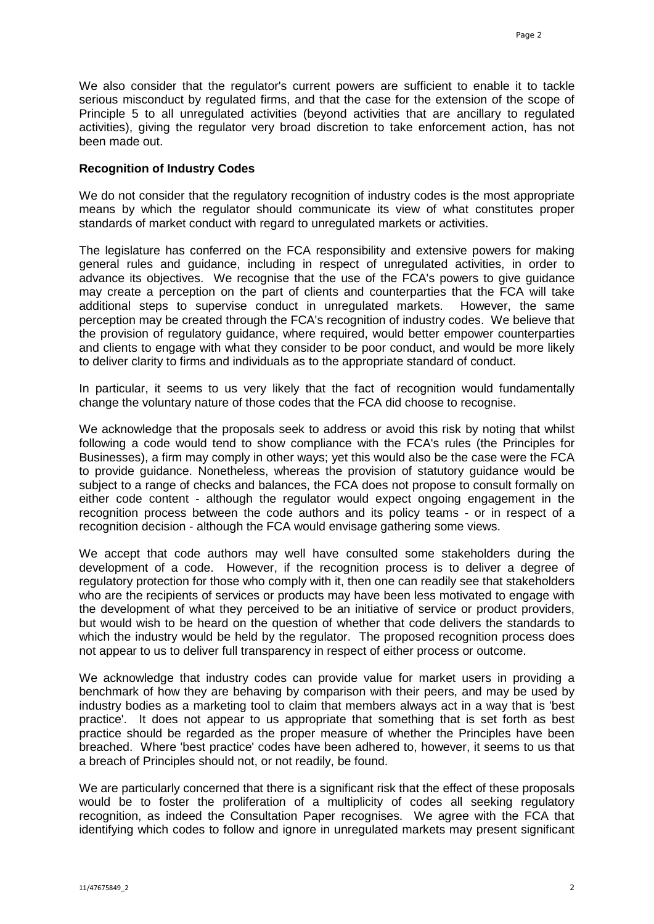We also consider that the regulator's current powers are sufficient to enable it to tackle serious misconduct by regulated firms, and that the case for the extension of the scope of Principle 5 to all unregulated activities (beyond activities that are ancillary to regulated activities), giving the regulator very broad discretion to take enforcement action, has not been made out.

#### **Recognition of Industry Codes**

We do not consider that the regulatory recognition of industry codes is the most appropriate means by which the regulator should communicate its view of what constitutes proper standards of market conduct with regard to unregulated markets or activities.

The legislature has conferred on the FCA responsibility and extensive powers for making general rules and guidance, including in respect of unregulated activities, in order to advance its objectives. We recognise that the use of the FCA's powers to give guidance may create a perception on the part of clients and counterparties that the FCA will take additional steps to supervise conduct in unregulated markets. However, the same perception may be created through the FCA's recognition of industry codes. We believe that the provision of regulatory guidance, where required, would better empower counterparties and clients to engage with what they consider to be poor conduct, and would be more likely to deliver clarity to firms and individuals as to the appropriate standard of conduct.

In particular, it seems to us very likely that the fact of recognition would fundamentally change the voluntary nature of those codes that the FCA did choose to recognise.

We acknowledge that the proposals seek to address or avoid this risk by noting that whilst following a code would tend to show compliance with the FCA's rules (the Principles for Businesses), a firm may comply in other ways; yet this would also be the case were the FCA to provide guidance. Nonetheless, whereas the provision of statutory guidance would be subject to a range of checks and balances, the FCA does not propose to consult formally on either code content - although the regulator would expect ongoing engagement in the recognition process between the code authors and its policy teams - or in respect of a recognition decision - although the FCA would envisage gathering some views.

We accept that code authors may well have consulted some stakeholders during the development of a code. However, if the recognition process is to deliver a degree of regulatory protection for those who comply with it, then one can readily see that stakeholders who are the recipients of services or products may have been less motivated to engage with the development of what they perceived to be an initiative of service or product providers, but would wish to be heard on the question of whether that code delivers the standards to which the industry would be held by the regulator. The proposed recognition process does not appear to us to deliver full transparency in respect of either process or outcome.

We acknowledge that industry codes can provide value for market users in providing a benchmark of how they are behaving by comparison with their peers, and may be used by industry bodies as a marketing tool to claim that members always act in a way that is 'best practice'. It does not appear to us appropriate that something that is set forth as best practice should be regarded as the proper measure of whether the Principles have been breached. Where 'best practice' codes have been adhered to, however, it seems to us that a breach of Principles should not, or not readily, be found.

We are particularly concerned that there is a significant risk that the effect of these proposals would be to foster the proliferation of a multiplicity of codes all seeking regulatory recognition, as indeed the Consultation Paper recognises. We agree with the FCA that identifying which codes to follow and ignore in unregulated markets may present significant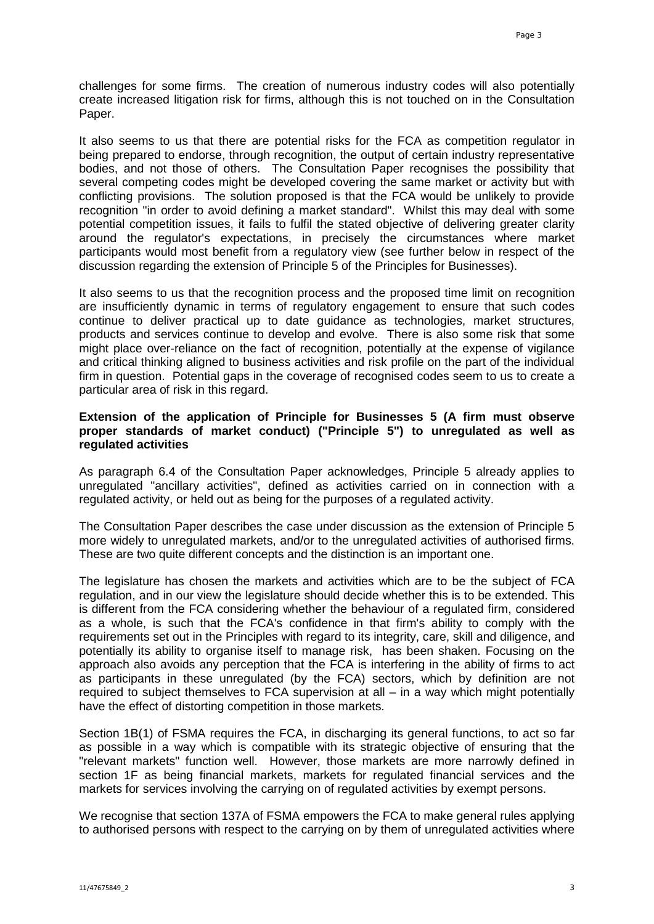challenges for some firms. The creation of numerous industry codes will also potentially create increased litigation risk for firms, although this is not touched on in the Consultation Paper.

It also seems to us that there are potential risks for the FCA as competition regulator in being prepared to endorse, through recognition, the output of certain industry representative bodies, and not those of others. The Consultation Paper recognises the possibility that several competing codes might be developed covering the same market or activity but with conflicting provisions. The solution proposed is that the FCA would be unlikely to provide recognition "in order to avoid defining a market standard". Whilst this may deal with some potential competition issues, it fails to fulfil the stated objective of delivering greater clarity around the regulator's expectations, in precisely the circumstances where market participants would most benefit from a regulatory view (see further below in respect of the discussion regarding the extension of Principle 5 of the Principles for Businesses).

It also seems to us that the recognition process and the proposed time limit on recognition are insufficiently dynamic in terms of regulatory engagement to ensure that such codes continue to deliver practical up to date guidance as technologies, market structures, products and services continue to develop and evolve. There is also some risk that some might place over-reliance on the fact of recognition, potentially at the expense of vigilance and critical thinking aligned to business activities and risk profile on the part of the individual firm in question. Potential gaps in the coverage of recognised codes seem to us to create a particular area of risk in this regard.

### **Extension of the application of Principle for Businesses 5 (A firm must observe proper standards of market conduct) ("Principle 5") to unregulated as well as regulated activities**

As paragraph 6.4 of the Consultation Paper acknowledges, Principle 5 already applies to unregulated "ancillary activities", defined as activities carried on in connection with a regulated activity, or held out as being for the purposes of a regulated activity.

The Consultation Paper describes the case under discussion as the extension of Principle 5 more widely to unregulated markets, and/or to the unregulated activities of authorised firms. These are two quite different concepts and the distinction is an important one.

The legislature has chosen the markets and activities which are to be the subject of FCA regulation, and in our view the legislature should decide whether this is to be extended. This is different from the FCA considering whether the behaviour of a regulated firm, considered as a whole, is such that the FCA's confidence in that firm's ability to comply with the requirements set out in the Principles with regard to its integrity, care, skill and diligence, and potentially its ability to organise itself to manage risk, has been shaken. Focusing on the approach also avoids any perception that the FCA is interfering in the ability of firms to act as participants in these unregulated (by the FCA) sectors, which by definition are not required to subject themselves to FCA supervision at all – in a way which might potentially have the effect of distorting competition in those markets.

Section 1B(1) of FSMA requires the FCA, in discharging its general functions, to act so far as possible in a way which is compatible with its strategic objective of ensuring that the "relevant markets" function well. However, those markets are more narrowly defined in section 1F as being financial markets, markets for regulated financial services and the markets for services involving the carrying on of regulated activities by exempt persons.

We recognise that section 137A of FSMA empowers the FCA to make general rules applying to authorised persons with respect to the carrying on by them of unregulated activities where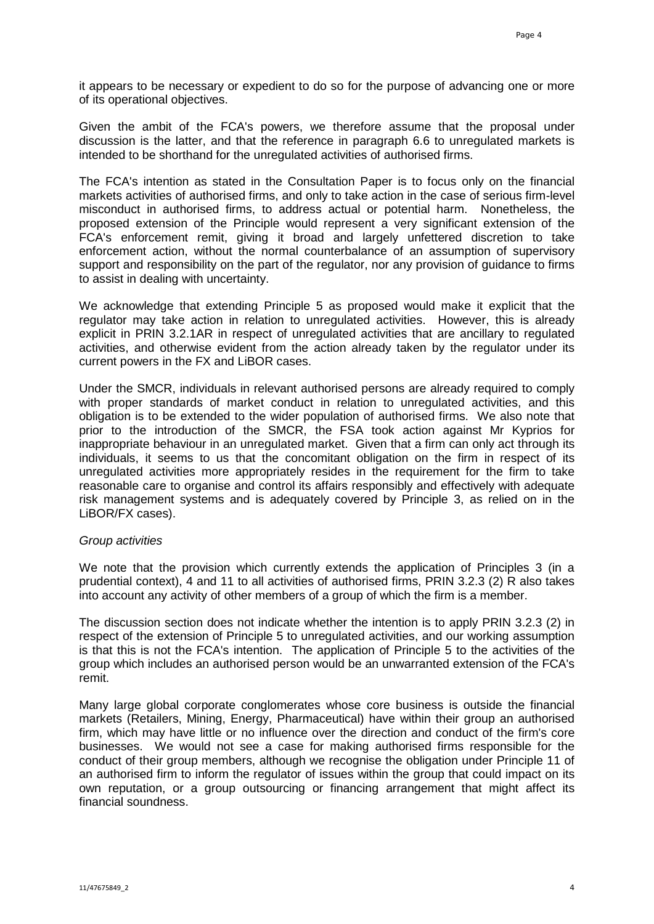it appears to be necessary or expedient to do so for the purpose of advancing one or more of its operational objectives.

Given the ambit of the FCA's powers, we therefore assume that the proposal under discussion is the latter, and that the reference in paragraph 6.6 to unregulated markets is intended to be shorthand for the unregulated activities of authorised firms.

The FCA's intention as stated in the Consultation Paper is to focus only on the financial markets activities of authorised firms, and only to take action in the case of serious firm-level misconduct in authorised firms, to address actual or potential harm. Nonetheless, the proposed extension of the Principle would represent a very significant extension of the FCA's enforcement remit, giving it broad and largely unfettered discretion to take enforcement action, without the normal counterbalance of an assumption of supervisory support and responsibility on the part of the regulator, nor any provision of guidance to firms to assist in dealing with uncertainty.

We acknowledge that extending Principle 5 as proposed would make it explicit that the regulator may take action in relation to unregulated activities. However, this is already explicit in PRIN 3.2.1AR in respect of unregulated activities that are ancillary to regulated activities, and otherwise evident from the action already taken by the regulator under its current powers in the FX and LiBOR cases.

Under the SMCR, individuals in relevant authorised persons are already required to comply with proper standards of market conduct in relation to unregulated activities, and this obligation is to be extended to the wider population of authorised firms. We also note that prior to the introduction of the SMCR, the FSA took action against Mr Kyprios for inappropriate behaviour in an unregulated market. Given that a firm can only act through its individuals, it seems to us that the concomitant obligation on the firm in respect of its unregulated activities more appropriately resides in the requirement for the firm to take reasonable care to organise and control its affairs responsibly and effectively with adequate risk management systems and is adequately covered by Principle 3, as relied on in the LiBOR/FX cases).

#### *Group activities*

We note that the provision which currently extends the application of Principles 3 (in a prudential context), 4 and 11 to all activities of authorised firms, PRIN 3.2.3 (2) R also takes into account any activity of other members of a group of which the firm is a member.

The discussion section does not indicate whether the intention is to apply PRIN 3.2.3 (2) in respect of the extension of Principle 5 to unregulated activities, and our working assumption is that this is not the FCA's intention. The application of Principle 5 to the activities of the group which includes an authorised person would be an unwarranted extension of the FCA's remit.

Many large global corporate conglomerates whose core business is outside the financial markets (Retailers, Mining, Energy, Pharmaceutical) have within their group an authorised firm, which may have little or no influence over the direction and conduct of the firm's core businesses. We would not see a case for making authorised firms responsible for the conduct of their group members, although we recognise the obligation under Principle 11 of an authorised firm to inform the regulator of issues within the group that could impact on its own reputation, or a group outsourcing or financing arrangement that might affect its financial soundness.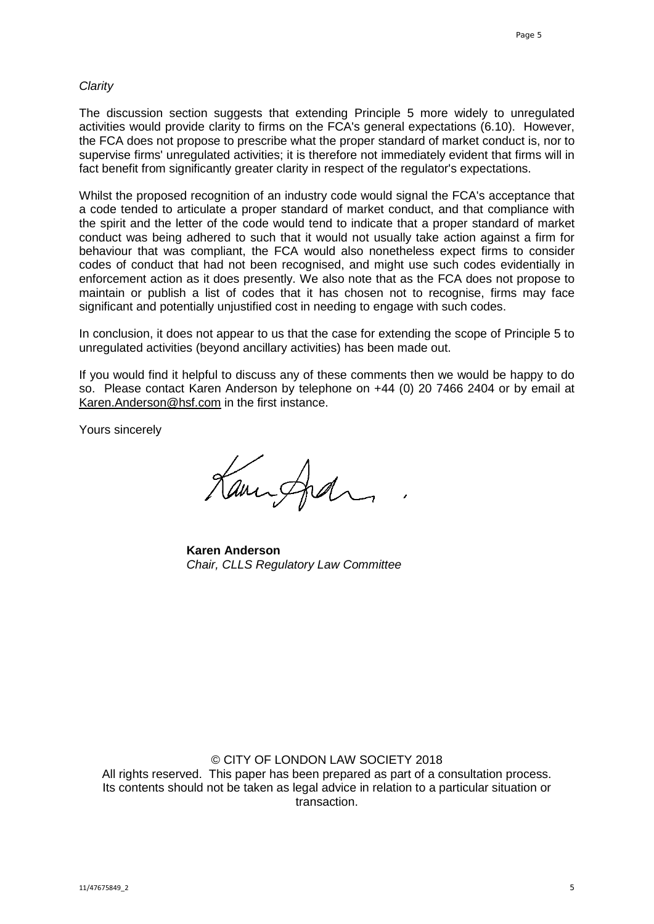#### *Clarity*

The discussion section suggests that extending Principle 5 more widely to unregulated activities would provide clarity to firms on the FCA's general expectations (6.10). However, the FCA does not propose to prescribe what the proper standard of market conduct is, nor to supervise firms' unregulated activities; it is therefore not immediately evident that firms will in fact benefit from significantly greater clarity in respect of the regulator's expectations.

Whilst the proposed recognition of an industry code would signal the FCA's acceptance that a code tended to articulate a proper standard of market conduct, and that compliance with the spirit and the letter of the code would tend to indicate that a proper standard of market conduct was being adhered to such that it would not usually take action against a firm for behaviour that was compliant, the FCA would also nonetheless expect firms to consider codes of conduct that had not been recognised, and might use such codes evidentially in enforcement action as it does presently. We also note that as the FCA does not propose to maintain or publish a list of codes that it has chosen not to recognise, firms may face significant and potentially unjustified cost in needing to engage with such codes.

In conclusion, it does not appear to us that the case for extending the scope of Principle 5 to unregulated activities (beyond ancillary activities) has been made out.

If you would find it helpful to discuss any of these comments then we would be happy to do so. Please contact Karen Anderson by telephone on +44 (0) 20 7466 2404 or by email at [Karen.Anderson@hsf.com](mailto:Karen.Anderson@hsf.com) in the first instance.

Yours sincerely

Kannford

**Karen Anderson** *Chair, CLLS Regulatory Law Committee*

### © CITY OF LONDON LAW SOCIETY 2018

All rights reserved. This paper has been prepared as part of a consultation process. Its contents should not be taken as legal advice in relation to a particular situation or transaction.